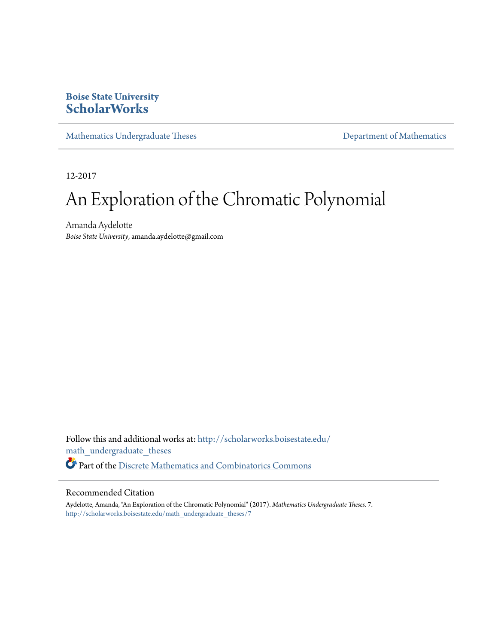### **Boise State University [ScholarWorks](http://scholarworks.boisestate.edu?utm_source=scholarworks.boisestate.edu%2Fmath_undergraduate_theses%2F7&utm_medium=PDF&utm_campaign=PDFCoverPages)**

[Mathematics Undergraduate Theses](http://scholarworks.boisestate.edu/math_undergraduate_theses?utm_source=scholarworks.boisestate.edu%2Fmath_undergraduate_theses%2F7&utm_medium=PDF&utm_campaign=PDFCoverPages) **[Department of Mathematics](http://scholarworks.boisestate.edu/math?utm_source=scholarworks.boisestate.edu%2Fmath_undergraduate_theses%2F7&utm_medium=PDF&utm_campaign=PDFCoverPages)** Department of Mathematics

12-2017

# An Exploration of the Chromatic Polynomial

Amanda Aydelotte *Boise State University*, amanda.aydelotte@gmail.com

Follow this and additional works at: [http://scholarworks.boisestate.edu/](http://scholarworks.boisestate.edu/math_undergraduate_theses?utm_source=scholarworks.boisestate.edu%2Fmath_undergraduate_theses%2F7&utm_medium=PDF&utm_campaign=PDFCoverPages) [math\\_undergraduate\\_theses](http://scholarworks.boisestate.edu/math_undergraduate_theses?utm_source=scholarworks.boisestate.edu%2Fmath_undergraduate_theses%2F7&utm_medium=PDF&utm_campaign=PDFCoverPages) Part of the [Discrete Mathematics and Combinatorics Commons](http://network.bepress.com/hgg/discipline/178?utm_source=scholarworks.boisestate.edu%2Fmath_undergraduate_theses%2F7&utm_medium=PDF&utm_campaign=PDFCoverPages)

#### Recommended Citation

Aydelotte, Amanda, "An Exploration of the Chromatic Polynomial" (2017). *Mathematics Undergraduate Theses*. 7. [http://scholarworks.boisestate.edu/math\\_undergraduate\\_theses/7](http://scholarworks.boisestate.edu/math_undergraduate_theses/7?utm_source=scholarworks.boisestate.edu%2Fmath_undergraduate_theses%2F7&utm_medium=PDF&utm_campaign=PDFCoverPages)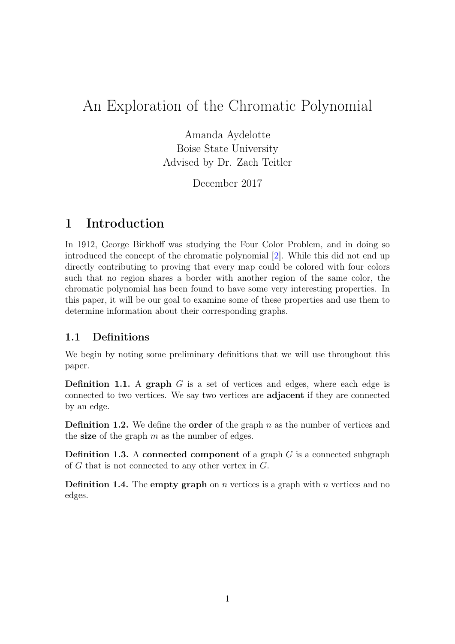## An Exploration of the Chromatic Polynomial

Amanda Aydelotte Boise State University Advised by Dr. Zach Teitler

December 2017

## 1 Introduction

In 1912, George Birkhoff was studying the Four Color Problem, and in doing so introduced the concept of the chromatic polynomial [\[2\]](#page-16-0). While this did not end up directly contributing to proving that every map could be colored with four colors such that no region shares a border with another region of the same color, the chromatic polynomial has been found to have some very interesting properties. In this paper, it will be our goal to examine some of these properties and use them to determine information about their corresponding graphs.

#### 1.1 Definitions

We begin by noting some preliminary definitions that we will use throughout this paper.

**Definition 1.1.** A graph  $G$  is a set of vertices and edges, where each edge is connected to two vertices. We say two vertices are adjacent if they are connected by an edge.

**Definition 1.2.** We define the **order** of the graph  $n$  as the number of vertices and the size of the graph  $m$  as the number of edges.

**Definition 1.3.** A connected component of a graph  $G$  is a connected subgraph of  $G$  that is not connected to any other vertex in  $G$ .

**Definition 1.4.** The **empty graph** on *n* vertices is a graph with *n* vertices and no edges.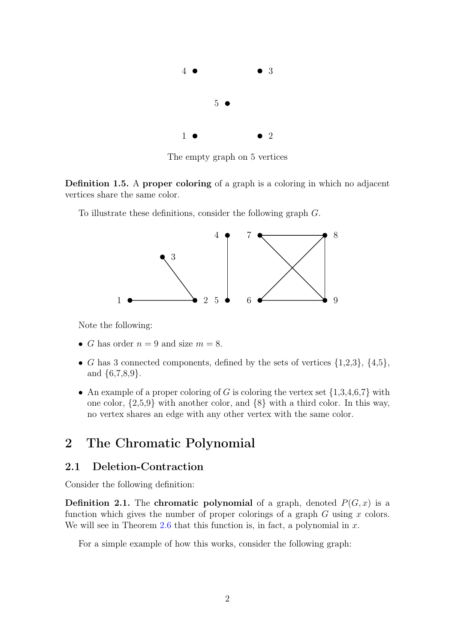

The empty graph on 5 vertices

Definition 1.5. A proper coloring of a graph is a coloring in which no adjacent vertices share the same color.

To illustrate these definitions, consider the following graph G.



Note the following:

- *G* has order  $n = 9$  and size  $m = 8$ .
- G has 3 connected components, defined by the sets of vertices  $\{1,2,3\}, \{4,5\},\$ and {6,7,8,9}.
- An example of a proper coloring of G is coloring the vertex set  $\{1,3,4,6,7\}$  with one color, {2,5,9} with another color, and {8} with a third color. In this way, no vertex shares an edge with any other vertex with the same color.

## 2 The Chromatic Polynomial

#### <span id="page-2-0"></span>2.1 Deletion-Contraction

Consider the following definition:

**Definition 2.1.** The chromatic polynomial of a graph, denoted  $P(G, x)$  is a function which gives the number of proper colorings of a graph  $G$  using  $x$  colors. We will see in Theorem [2.6](#page-6-0) that this function is, in fact, a polynomial in  $x$ .

For a simple example of how this works, consider the following graph: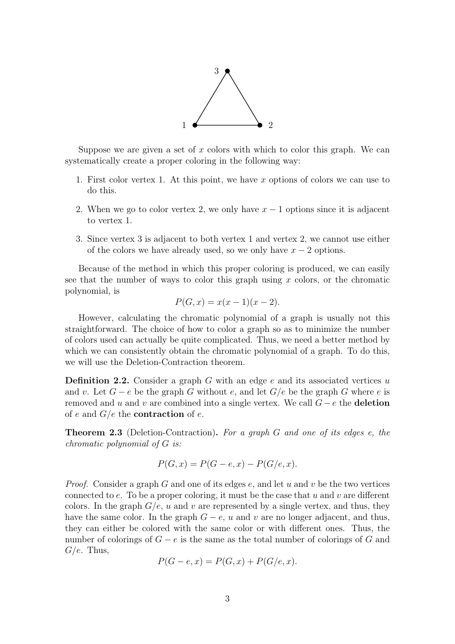

Suppose we are given a set of  $x$  colors with which to color this graph. We can systematically create a proper coloring in the following way:

- 1. First color vertex 1. At this point, we have x options of colors we can use to do this.
- 2. When we go to color vertex 2, we only have  $x 1$  options since it is adjacent to vertex 1.
- 3. Since vertex 3 is adjacent to both vertex 1 and vertex 2, we cannot use either of the colors we have already used, so we only have  $x - 2$  options.

Because of the method in which this proper coloring is produced, we can easily see that the number of ways to color this graph using  $x$  colors, or the chromatic polynomial, is

$$
P(G, x) = x(x - 1)(x - 2).
$$

However, calculating the chromatic polynomial of a graph is usually not this straightforward. The choice of how to color a graph so as to minimize the number of colors used can actually be quite complicated. Thus, we need a better method by which we can consistently obtain the chromatic polynomial of a graph. To do this, we will use the Deletion-Contraction theorem.

**Definition 2.2.** Consider a graph  $G$  with an edge  $e$  and its associated vertices  $u$ and v. Let  $G - e$  be the graph G without e, and let  $G/e$  be the graph G where e is removed and u and v are combined into a single vertex. We call  $G - e$  the deletion of e and  $G/e$  the **contraction** of e.

**Theorem 2.3** (Deletion-Contraction). For a graph G and one of its edges e, the chromatic polynomial of G is:

$$
P(G, x) = P(G - e, x) - P(G/e, x).
$$

*Proof.* Consider a graph G and one of its edges  $e$ , and let u and v be the two vertices connected to e. To be a proper coloring, it must be the case that u and v are different colors. In the graph  $G/e$ , u and v are represented by a single vertex, and thus, they have the same color. In the graph  $G - e$ , u and v are no longer adjacent, and thus, they can either be colored with the same color or with different ones. Thus, the number of colorings of  $G - e$  is the same as the total number of colorings of G and  $G/e$ . Thus,

$$
P(G - e, x) = P(G, x) + P(G/e, x).
$$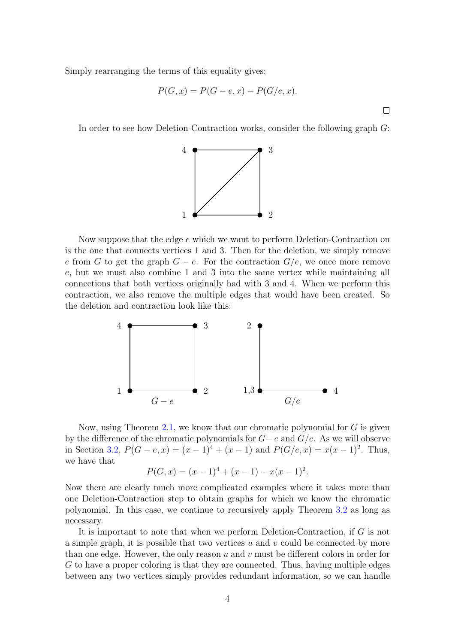Simply rearranging the terms of this equality gives:

$$
P(G, x) = P(G - e, x) - P(G/e, x).
$$

 $\Box$ 

In order to see how Deletion-Contraction works, consider the following graph G:



Now suppose that the edge e which we want to perform Deletion-Contraction on is the one that connects vertices 1 and 3. Then for the deletion, we simply remove e from G to get the graph  $G - e$ . For the contraction  $G/e$ , we once more remove e, but we must also combine 1 and 3 into the same vertex while maintaining all connections that both vertices originally had with 3 and 4. When we perform this contraction, we also remove the multiple edges that would have been created. So the deletion and contraction look like this:



Now, using Theorem [2.1,](#page-2-0) we know that our chromatic polynomial for  $G$  is given by the difference of the chromatic polynomials for  $G-e$  and  $G/e$ . As we will observe in Section [3.2,](#page-9-0)  $P(G - e, x) = (x - 1)^4 + (x - 1)$  and  $P(G/e, x) = x(x - 1)^2$ . Thus, we have that

$$
P(G, x) = (x - 1)^{4} + (x - 1) - x(x - 1)^{2}.
$$

Now there are clearly much more complicated examples where it takes more than one Deletion-Contraction step to obtain graphs for which we know the chromatic polynomial. In this case, we continue to recursively apply Theorem [3.2](#page-9-0) as long as necessary.

It is important to note that when we perform Deletion-Contraction, if G is not a simple graph, it is possible that two vertices  $u$  and  $v$  could be connected by more than one edge. However, the only reason  $u$  and  $v$  must be different colors in order for G to have a proper coloring is that they are connected. Thus, having multiple edges between any two vertices simply provides redundant information, so we can handle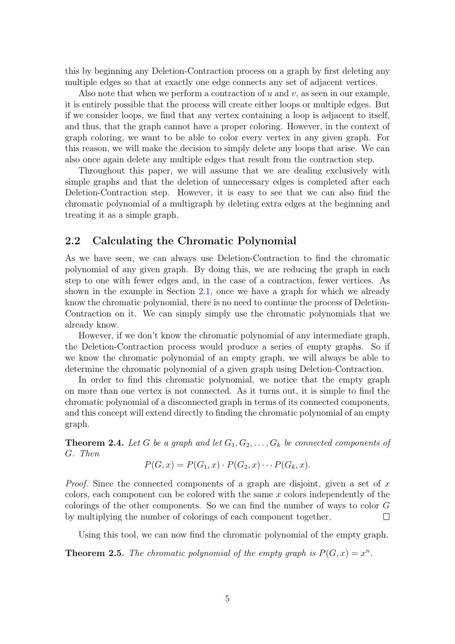this by beginning any Deletion-Contraction process on a graph by first deleting any multiple edges so that at exactly one edge connects any set of adjacent vertices.

Also note that when we perform a contraction of  $u$  and  $v$ , as seen in our example, it is entirely possible that the process will create either loops or multiple edges. But if we consider loops, we find that any vertex containing a loop is adjacent to itself, and thus, that the graph cannot have a proper coloring. However, in the context of graph coloring, we want to be able to color every vertex in any given graph. For this reason, we will make the decision to simply delete any loops that arise. We can also once again delete any multiple edges that result from the contraction step.

Throughout this paper, we will assume that we are dealing exclusively with simple graphs and that the deletion of unnecessary edges is completed after each Deletion-Contraction step. However, it is easy to see that we can also find the chromatic polynomial of a multigraph by deleting extra edges at the beginning and treating it as a simple graph.

#### 2.2 Calculating the Chromatic Polynomial

As we have seen, we can always use Deletion-Contraction to find the chromatic polynomial of any given graph. By doing this, we are reducing the graph in each step to one with fewer edges and, in the case of a contraction, fewer vertices. As shown in the example in Section [2.1,](#page-2-0) once we have a graph for which we already know the chromatic polynomial, there is no need to continue the process of Deletion-Contraction on it. We can simply simply use the chromatic polynomials that we already know.

However, if we don't know the chromatic polynomial of any intermediate graph, the Deletion-Contraction process would produce a series of empty graphs. So if we know the chromatic polynomial of an empty graph, we will always be able to determine the chromatic polynomial of a given graph using Deletion-Contraction.

In order to find this chromatic polynomial, we notice that the empty graph on more than one vertex is not connected. As it turns out, it is simple to find the chromatic polynomial of a disconnected graph in terms of its connected components, and this concept will extend directly to finding the chromatic polynomial of an empty graph.

<span id="page-5-0"></span>**Theorem 2.4.** Let G be a graph and let  $G_1, G_2, \ldots, G_k$  be connected components of G. Then

$$
P(G, x) = P(G_1, x) \cdot P(G_2, x) \cdots P(G_k, x).
$$

*Proof.* Since the connected components of a graph are disjoint, given a set of x colors, each component can be colored with the same  $x$  colors independently of the colorings of the other components. So we can find the number of ways to color G by multiplying the number of colorings of each component together.  $\Box$ 

Using this tool, we can now find the chromatic polynomial of the empty graph.

**Theorem 2.5.** The chromatic polynomial of the empty graph is  $P(G, x) = x^n$ .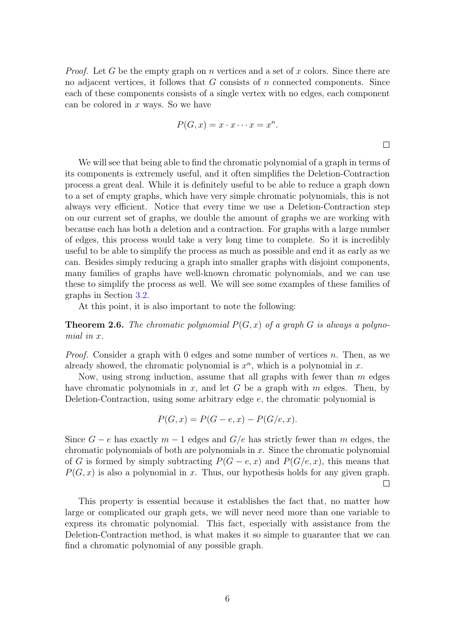*Proof.* Let G be the empty graph on n vertices and a set of x colors. Since there are no adjacent vertices, it follows that  $G$  consists of  $n$  connected components. Since each of these components consists of a single vertex with no edges, each component can be colored in  $x$  ways. So we have

$$
P(G, x) = x \cdot x \cdots x = x^n.
$$

 $\Box$ 

We will see that being able to find the chromatic polynomial of a graph in terms of its components is extremely useful, and it often simplifies the Deletion-Contraction process a great deal. While it is definitely useful to be able to reduce a graph down to a set of empty graphs, which have very simple chromatic polynomials, this is not always very efficient. Notice that every time we use a Deletion-Contraction step on our current set of graphs, we double the amount of graphs we are working with because each has both a deletion and a contraction. For graphs with a large number of edges, this process would take a very long time to complete. So it is incredibly useful to be able to simplify the process as much as possible and end it as early as we can. Besides simply reducing a graph into smaller graphs with disjoint components, many families of graphs have well-known chromatic polynomials, and we can use these to simplify the process as well. We will see some examples of these families of graphs in Section [3.2.](#page-9-0)

At this point, it is also important to note the following:

<span id="page-6-0"></span>**Theorem 2.6.** The chromatic polynomial  $P(G, x)$  of a graph G is always a polynomial in x.

*Proof.* Consider a graph with 0 edges and some number of vertices  $n$ . Then, as we already showed, the chromatic polynomial is  $x^n$ , which is a polynomial in  $x$ .

Now, using strong induction, assume that all graphs with fewer than  $m$  edges have chromatic polynomials in x, and let G be a graph with  $m$  edges. Then, by Deletion-Contraction, using some arbitrary edge e, the chromatic polynomial is

$$
P(G, x) = P(G - e, x) - P(G/e, x).
$$

Since  $G - e$  has exactly  $m - 1$  edges and  $G/e$  has strictly fewer than m edges, the chromatic polynomials of both are polynomials in  $x$ . Since the chromatic polynomial of G is formed by simply subtracting  $P(G - e, x)$  and  $P(G/e, x)$ , this means that  $P(G, x)$  is also a polynomial in x. Thus, our hypothesis holds for any given graph.  $\Box$ 

This property is essential because it establishes the fact that, no matter how large or complicated our graph gets, we will never need more than one variable to express its chromatic polynomial. This fact, especially with assistance from the Deletion-Contraction method, is what makes it so simple to guarantee that we can find a chromatic polynomial of any possible graph.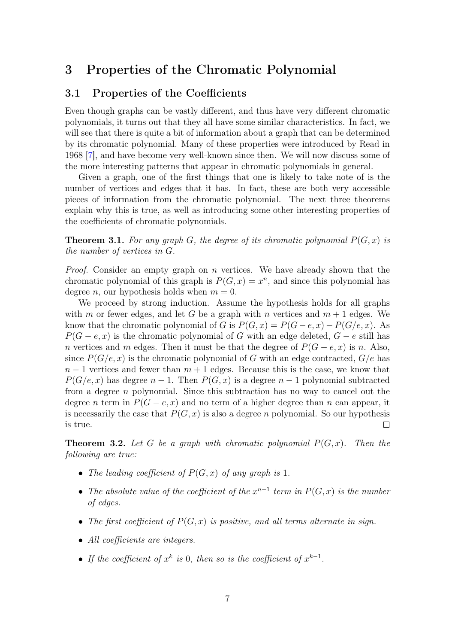## 3 Properties of the Chromatic Polynomial

#### <span id="page-7-0"></span>3.1 Properties of the Coefficients

Even though graphs can be vastly different, and thus have very different chromatic polynomials, it turns out that they all have some similar characteristics. In fact, we will see that there is quite a bit of information about a graph that can be determined by its chromatic polynomial. Many of these properties were introduced by Read in 1968 [\[7\]](#page-16-1), and have become very well-known since then. We will now discuss some of the more interesting patterns that appear in chromatic polynomials in general.

Given a graph, one of the first things that one is likely to take note of is the number of vertices and edges that it has. In fact, these are both very accessible pieces of information from the chromatic polynomial. The next three theorems explain why this is true, as well as introducing some other interesting properties of the coefficients of chromatic polynomials.

**Theorem 3.1.** For any graph G, the degree of its chromatic polynomial  $P(G, x)$  is the number of vertices in G.

*Proof.* Consider an empty graph on  $n$  vertices. We have already shown that the chromatic polynomial of this graph is  $P(G, x) = x^n$ , and since this polynomial has degree *n*, our hypothesis holds when  $m = 0$ .

We proceed by strong induction. Assume the hypothesis holds for all graphs with m or fewer edges, and let G be a graph with n vertices and  $m + 1$  edges. We know that the chromatic polynomial of G is  $P(G, x) = P(G - e, x) - P(G/e, x)$ . As  $P(G - e, x)$  is the chromatic polynomial of G with an edge deleted,  $G - e$  still has n vertices and m edges. Then it must be that the degree of  $P(G - e, x)$  is n. Also, since  $P(G/e, x)$  is the chromatic polynomial of G with an edge contracted,  $G/e$  has  $n-1$  vertices and fewer than  $m+1$  edges. Because this is the case, we know that  $P(G/e, x)$  has degree  $n - 1$ . Then  $P(G, x)$  is a degree  $n - 1$  polynomial subtracted from a degree n polynomial. Since this subtraction has no way to cancel out the degree *n* term in  $P(G - e, x)$  and no term of a higher degree than *n* can appear, it is necessarily the case that  $P(G, x)$  is also a degree n polynomial. So our hypothesis is true.  $\Box$ 

**Theorem 3.2.** Let G be a graph with chromatic polynomial  $P(G, x)$ . Then the following are true:

- The leading coefficient of  $P(G, x)$  of any graph is 1.
- The absolute value of the coefficient of the  $x^{n-1}$  term in  $P(G, x)$  is the number of edges.
- The first coefficient of  $P(G, x)$  is positive, and all terms alternate in sign.
- All coefficients are integers.
- If the coefficient of  $x^k$  is 0, then so is the coefficient of  $x^{k-1}$ .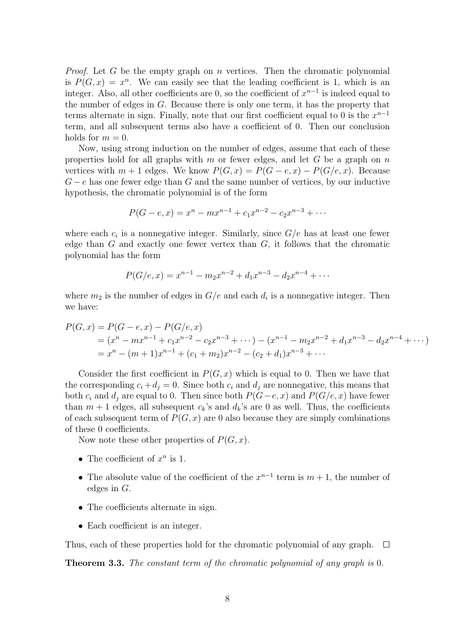*Proof.* Let G be the empty graph on n vertices. Then the chromatic polynomial is  $P(G, x) = x^n$ . We can easily see that the leading coefficient is 1, which is an integer. Also, all other coefficients are 0, so the coefficient of  $x^{n-1}$  is indeed equal to the number of edges in  $G$ . Because there is only one term, it has the property that terms alternate in sign. Finally, note that our first coefficient equal to 0 is the  $x^{n-1}$ term, and all subsequent terms also have a coefficient of 0. Then our conclusion holds for  $m = 0$ .

Now, using strong induction on the number of edges, assume that each of these properties hold for all graphs with m or fewer edges, and let  $G$  be a graph on  $n$ vertices with  $m + 1$  edges. We know  $P(G, x) = P(G - e, x) - P(G/e, x)$ . Because  $G - e$  has one fewer edge than G and the same number of vertices, by our inductive hypothesis, the chromatic polynomial is of the form

$$
P(G - e, x) = x^{n} - mx^{n-1} + c_1 x^{n-2} - c_2 x^{n-3} + \cdots
$$

where each  $c_i$  is a nonnegative integer. Similarly, since  $G/e$  has at least one fewer edge than  $G$  and exactly one fewer vertex than  $G$ , it follows that the chromatic polynomial has the form

$$
P(G/e, x) = x^{n-1} - m_2 x^{n-2} + d_1 x^{n-3} - d_2 x^{n-4} + \cdots
$$

where  $m_2$  is the number of edges in  $G/e$  and each  $d_i$  is a nonnegative integer. Then we have:

$$
P(G, x) = P(G - e, x) - P(G/e, x)
$$
  
=  $(x^n - mx^{n-1} + c_1x^{n-2} - c_2x^{n-3} + \cdots) - (x^{n-1} - m_2x^{n-2} + d_1x^{n-3} - d_2x^{n-4} + \cdots)$   
=  $x^n - (m+1)x^{n-1} + (c_1 + m_2)x^{n-2} - (c_2 + d_1)x^{n-3} + \cdots$ 

Consider the first coefficient in  $P(G, x)$  which is equal to 0. Then we have that the corresponding  $c_i + d_j = 0$ . Since both  $c_i$  and  $d_j$  are nonnegative, this means that both  $c_i$  and  $d_j$  are equal to 0. Then since both  $P(G-e, x)$  and  $P(G/e, x)$  have fewer than  $m + 1$  edges, all subsequent  $c_k$ 's and  $d_k$ 's are 0 as well. Thus, the coefficients of each subsequent term of  $P(G, x)$  are 0 also because they are simply combinations of these 0 coefficients.

Now note these other properties of  $P(G, x)$ .

- The coefficient of  $x^n$  is 1.
- The absolute value of the coefficient of the  $x^{n-1}$  term is  $m + 1$ , the number of edges in G.
- The coefficients alternate in sign.
- Each coefficient is an integer.

Thus, each of these properties hold for the chromatic polynomial of any graph.  $\Box$ 

**Theorem 3.3.** The constant term of the chromatic polynomial of any graph is 0.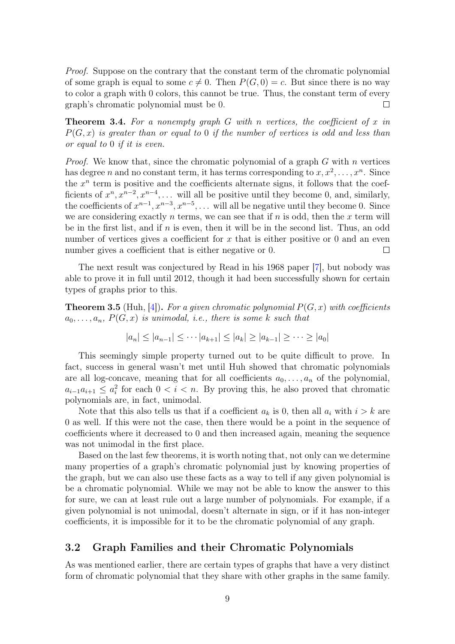Proof. Suppose on the contrary that the constant term of the chromatic polynomial of some graph is equal to some  $c \neq 0$ . Then  $P(G, 0) = c$ . But since there is no way to color a graph with 0 colors, this cannot be true. Thus, the constant term of every graph's chromatic polynomial must be 0.  $\Box$ 

**Theorem 3.4.** For a nonempty graph G with n vertices, the coefficient of x in  $P(G, x)$  is greater than or equal to 0 if the number of vertices is odd and less than or equal to 0 if it is even.

*Proof.* We know that, since the chromatic polynomial of a graph  $G$  with  $n$  vertices has degree *n* and no constant term, it has terms corresponding to  $x, x^2, \ldots, x^n$ . Since the  $x^n$  term is positive and the coefficients alternate signs, it follows that the coefficients of  $x^n, x^{n-2}, x^{n-4}, \ldots$  will all be positive until they become 0, and, similarly, the coefficients of  $x^{n-1}$ ,  $x^{n-3}$ ,  $x^{n-5}$ , ... will all be negative until they become 0. Since we are considering exactly n terms, we can see that if  $n$  is odd, then the  $x$  term will be in the first list, and if  $n$  is even, then it will be in the second list. Thus, an odd number of vertices gives a coefficient for  $x$  that is either positive or 0 and an even number gives a coefficient that is either negative or 0.  $\Box$ 

The next result was conjectured by Read in his 1968 paper [\[7\]](#page-16-1), but nobody was able to prove it in full until 2012, though it had been successfully shown for certain types of graphs prior to this.

**Theorem 3.5** (Huh, [\[4\]](#page-16-2)). For a given chromatic polynomial  $P(G, x)$  with coefficients  $a_0, \ldots, a_n$ ,  $P(G, x)$  is unimodal, i.e., there is some k such that

$$
|a_n| \le |a_{n-1}| \le \cdots |a_{k+1}| \le |a_k| \ge |a_{k-1}| \ge \cdots \ge |a_0|
$$

This seemingly simple property turned out to be quite difficult to prove. In fact, success in general wasn't met until Huh showed that chromatic polynomials are all log-concave, meaning that for all coefficients  $a_0, \ldots, a_n$  of the polynomial,  $a_{i-1}a_{i+1} \leq a_i^2$  for each  $0 < i < n$ . By proving this, he also proved that chromatic polynomials are, in fact, unimodal.

Note that this also tells us that if a coefficient  $a_k$  is 0, then all  $a_i$  with  $i > k$  are 0 as well. If this were not the case, then there would be a point in the sequence of coefficients where it decreased to 0 and then increased again, meaning the sequence was not unimodal in the first place.

Based on the last few theorems, it is worth noting that, not only can we determine many properties of a graph's chromatic polynomial just by knowing properties of the graph, but we can also use these facts as a way to tell if any given polynomial is be a chromatic polynomial. While we may not be able to know the answer to this for sure, we can at least rule out a large number of polynomials. For example, if a given polynomial is not unimodal, doesn't alternate in sign, or if it has non-integer coefficients, it is impossible for it to be the chromatic polynomial of any graph.

#### <span id="page-9-0"></span>3.2 Graph Families and their Chromatic Polynomials

As was mentioned earlier, there are certain types of graphs that have a very distinct form of chromatic polynomial that they share with other graphs in the same family.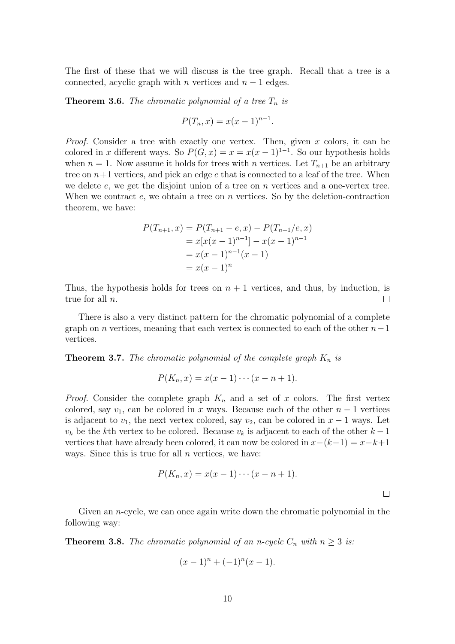The first of these that we will discuss is the tree graph. Recall that a tree is a connected, acyclic graph with n vertices and  $n-1$  edges.

**Theorem 3.6.** The chromatic polynomial of a tree  $T_n$  is

$$
P(T_n, x) = x(x - 1)^{n-1}.
$$

*Proof.* Consider a tree with exactly one vertex. Then, given  $x$  colors, it can be colored in x different ways. So  $P(G, x) = x = x(x - 1)^{1-1}$ . So our hypothesis holds when  $n = 1$ . Now assume it holds for trees with *n* vertices. Let  $T_{n+1}$  be an arbitrary tree on  $n+1$  vertices, and pick an edge  $e$  that is connected to a leaf of the tree. When we delete  $e$ , we get the disjoint union of a tree on  $n$  vertices and a one-vertex tree. When we contract  $e$ , we obtain a tree on  $n$  vertices. So by the deletion-contraction theorem, we have:

$$
P(T_{n+1}, x) = P(T_{n+1} - e, x) - P(T_{n+1}/e, x)
$$
  
=  $x[x(x - 1)^{n-1}] - x(x - 1)^{n-1}$   
=  $x(x - 1)^{n-1}(x - 1)$   
=  $x(x - 1)^n$ 

Thus, the hypothesis holds for trees on  $n + 1$  vertices, and thus, by induction, is true for all n.  $\Box$ 

There is also a very distinct pattern for the chromatic polynomial of a complete graph on n vertices, meaning that each vertex is connected to each of the other  $n-1$ vertices.

**Theorem 3.7.** The chromatic polynomial of the complete graph  $K_n$  is

$$
P(K_n, x) = x(x-1)\cdots(x-n+1).
$$

*Proof.* Consider the complete graph  $K_n$  and a set of x colors. The first vertex colored, say  $v_1$ , can be colored in x ways. Because each of the other  $n-1$  vertices is adjacent to  $v_1$ , the next vertex colored, say  $v_2$ , can be colored in  $x - 1$  ways. Let  $v_k$  be the kth vertex to be colored. Because  $v_k$  is adjacent to each of the other  $k-1$ vertices that have already been colored, it can now be colored in  $x-(k-1) = x-k+1$ ways. Since this is true for all  $n$  vertices, we have:

$$
P(K_n,x)=x(x-1)\cdots(x-n+1).
$$

 $\Box$ 

Given an n-cycle, we can once again write down the chromatic polynomial in the following way:

**Theorem 3.8.** The chromatic polynomial of an n-cycle  $C_n$  with  $n \geq 3$  is:

$$
(x-1)^n + (-1)^n(x-1).
$$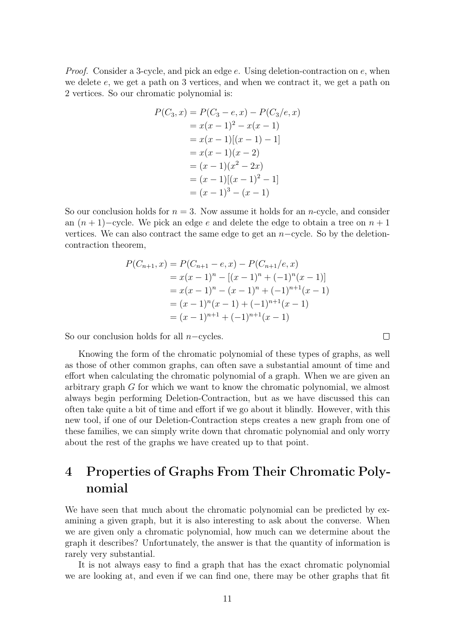Proof. Consider a 3-cycle, and pick an edge e. Using deletion-contraction on e, when we delete  $e$ , we get a path on 3 vertices, and when we contract it, we get a path on 2 vertices. So our chromatic polynomial is:

$$
P(C_3, x) = P(C_3 - e, x) - P(C_3/e, x)
$$
  
=  $x(x - 1)^2 - x(x - 1)$   
=  $x(x - 1)[(x - 1) - 1]$   
=  $x(x - 1)(x - 2)$   
=  $(x - 1)(x^2 - 2x)$   
=  $(x - 1)[(x - 1)^2 - 1]$   
=  $(x - 1)^3 - (x - 1)$ 

So our conclusion holds for  $n = 3$ . Now assume it holds for an *n*-cycle, and consider an  $(n + 1)$ −cycle. We pick an edge e and delete the edge to obtain a tree on  $n + 1$ vertices. We can also contract the same edge to get an  $n$ -cycle. So by the deletioncontraction theorem,

$$
P(C_{n+1}, x) = P(C_{n+1} - e, x) - P(C_{n+1}/e, x)
$$
  
=  $x(x - 1)^n - [(x - 1)^n + (-1)^n(x - 1)]$   
=  $x(x - 1)^n - (x - 1)^n + (-1)^{n+1}(x - 1)$   
=  $(x - 1)^n(x - 1) + (-1)^{n+1}(x - 1)$   
=  $(x - 1)^{n+1} + (-1)^{n+1}(x - 1)$ 

 $\Box$ 

So our conclusion holds for all  $n$ −cycles.

Knowing the form of the chromatic polynomial of these types of graphs, as well as those of other common graphs, can often save a substantial amount of time and effort when calculating the chromatic polynomial of a graph. When we are given an arbitrary graph G for which we want to know the chromatic polynomial, we almost always begin performing Deletion-Contraction, but as we have discussed this can often take quite a bit of time and effort if we go about it blindly. However, with this new tool, if one of our Deletion-Contraction steps creates a new graph from one of these families, we can simply write down that chromatic polynomial and only worry about the rest of the graphs we have created up to that point.

## 4 Properties of Graphs From Their Chromatic Polynomial

We have seen that much about the chromatic polynomial can be predicted by examining a given graph, but it is also interesting to ask about the converse. When we are given only a chromatic polynomial, how much can we determine about the graph it describes? Unfortunately, the answer is that the quantity of information is rarely very substantial.

It is not always easy to find a graph that has the exact chromatic polynomial we are looking at, and even if we can find one, there may be other graphs that fit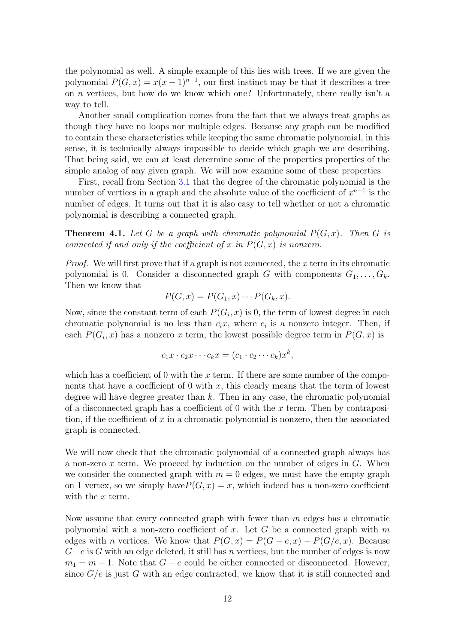the polynomial as well. A simple example of this lies with trees. If we are given the polynomial  $P(G, x) = x(x - 1)^{n-1}$ , our first instinct may be that it describes a tree on *n* vertices, but how do we know which one? Unfortunately, there really isn't a way to tell.

Another small complication comes from the fact that we always treat graphs as though they have no loops nor multiple edges. Because any graph can be modified to contain these characteristics while keeping the same chromatic polynomial, in this sense, it is technically always impossible to decide which graph we are describing. That being said, we can at least determine some of the properties properties of the simple analog of any given graph. We will now examine some of these properties.

First, recall from Section [3.1](#page-7-0) that the degree of the chromatic polynomial is the number of vertices in a graph and the absolute value of the coefficient of  $x^{n-1}$  is the number of edges. It turns out that it is also easy to tell whether or not a chromatic polynomial is describing a connected graph.

**Theorem 4.1.** Let G be a graph with chromatic polynomial  $P(G, x)$ . Then G is connected if and only if the coefficient of x in  $P(G, x)$  is nonzero.

*Proof.* We will first prove that if a graph is not connected, the x term in its chromatic polynomial is 0. Consider a disconnected graph G with components  $G_1, \ldots, G_k$ . Then we know that

$$
P(G, x) = P(G_1, x) \cdots P(G_k, x).
$$

Now, since the constant term of each  $P(G_i, x)$  is 0, the term of lowest degree in each chromatic polynomial is no less than  $c_i x$ , where  $c_i$  is a nonzero integer. Then, if each  $P(G_i, x)$  has a nonzero x term, the lowest possible degree term in  $P(G, x)$  is

$$
c_1x \cdot c_2x \cdots c_kx = (c_1 \cdot c_2 \cdots c_k)x^k,
$$

which has a coefficient of 0 with the x term. If there are some number of the components that have a coefficient of 0 with  $x$ , this clearly means that the term of lowest degree will have degree greater than  $k$ . Then in any case, the chromatic polynomial of a disconnected graph has a coefficient of 0 with the  $x$  term. Then by contraposition, if the coefficient of  $x$  in a chromatic polynomial is nonzero, then the associated graph is connected.

We will now check that the chromatic polynomial of a connected graph always has a non-zero  $x$  term. We proceed by induction on the number of edges in  $G$ . When we consider the connected graph with  $m = 0$  edges, we must have the empty graph on 1 vertex, so we simply have  $P(G, x) = x$ , which indeed has a non-zero coefficient with the x term.

Now assume that every connected graph with fewer than  $m$  edges has a chromatic polynomial with a non-zero coefficient of x. Let G be a connected graph with m edges with *n* vertices. We know that  $P(G, x) = P(G - e, x) - P(G/e, x)$ . Because  $G-e$  is G with an edge deleted, it still has n vertices, but the number of edges is now  $m_1 = m - 1$ . Note that  $G - e$  could be either connected or disconnected. However, since  $G/e$  is just G with an edge contracted, we know that it is still connected and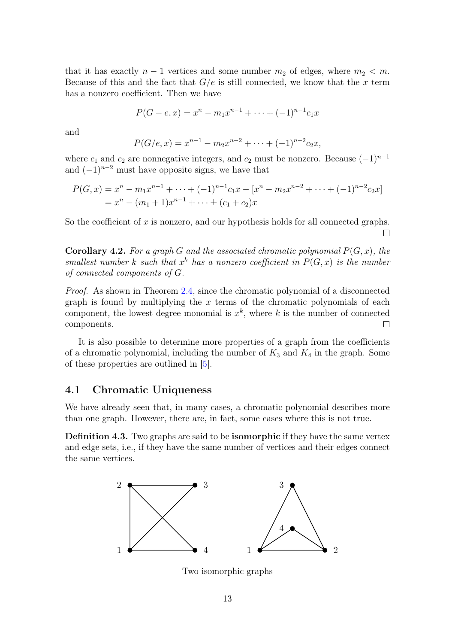that it has exactly  $n-1$  vertices and some number  $m_2$  of edges, where  $m_2 < m$ . Because of this and the fact that  $G/e$  is still connected, we know that the x term has a nonzero coefficient. Then we have

$$
P(G - e, x) = x^{n} - m_1 x^{n-1} + \dots + (-1)^{n-1} c_1 x
$$

and

$$
P(G/e, x) = x^{n-1} - m_2 x^{n-2} + \dots + (-1)^{n-2} c_2 x,
$$

where  $c_1$  and  $c_2$  are nonnegative integers, and  $c_2$  must be nonzero. Because  $(-1)^{n-1}$ and  $(-1)^{n-2}$  must have opposite signs, we have that

$$
P(G, x) = x^{n} - m_{1}x^{n-1} + \dots + (-1)^{n-1}c_{1}x - [x^{n} - m_{2}x^{n-2} + \dots + (-1)^{n-2}c_{2}x]
$$
  
=  $x^{n} - (m_{1} + 1)x^{n-1} + \dots \pm (c_{1} + c_{2})x$ 

So the coefficient of  $x$  is nonzero, and our hypothesis holds for all connected graphs.  $\Box$ 

**Corollary 4.2.** For a graph G and the associated chromatic polynomial  $P(G, x)$ , the smallest number k such that  $x^k$  has a nonzero coefficient in  $P(G, x)$  is the number of connected components of G.

Proof. As shown in Theorem [2.4,](#page-5-0) since the chromatic polynomial of a disconnected graph is found by multiplying the  $x$  terms of the chromatic polynomials of each component, the lowest degree monomial is  $x^k$ , where k is the number of connected components.  $\Box$ 

It is also possible to determine more properties of a graph from the coefficients of a chromatic polynomial, including the number of  $K_3$  and  $K_4$  in the graph. Some of these properties are outlined in [\[5\]](#page-16-3).

#### 4.1 Chromatic Uniqueness

We have already seen that, in many cases, a chromatic polynomial describes more than one graph. However, there are, in fact, some cases where this is not true.

Definition 4.3. Two graphs are said to be isomorphic if they have the same vertex and edge sets, i.e., if they have the same number of vertices and their edges connect the same vertices.



Two isomorphic graphs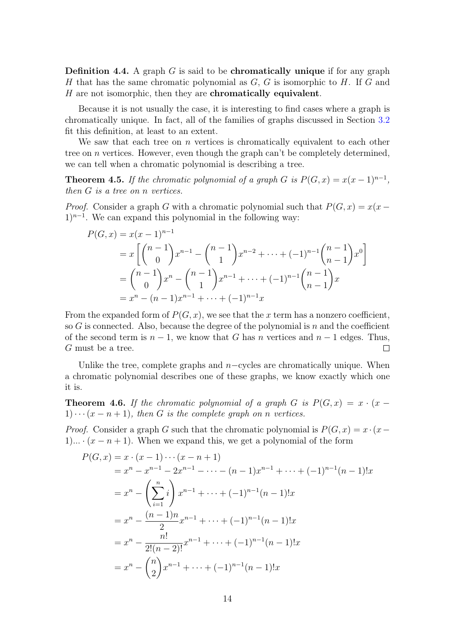**Definition 4.4.** A graph  $G$  is said to be **chromatically unique** if for any graph H that has the same chromatic polynomial as  $G, G$  is isomorphic to H. If G and  $H$  are not isomorphic, then they are **chromatically equivalent**.

Because it is not usually the case, it is interesting to find cases where a graph is chromatically unique. In fact, all of the families of graphs discussed in Section [3.2](#page-9-0) fit this definition, at least to an extent.

We saw that each tree on  $n$  vertices is chromatically equivalent to each other tree on *n* vertices. However, even though the graph can't be completely determined, we can tell when a chromatic polynomial is describing a tree.

**Theorem 4.5.** If the chromatic polynomial of a graph G is  $P(G, x) = x(x - 1)^{n-1}$ , then G is a tree on n vertices.

*Proof.* Consider a graph G with a chromatic polynomial such that  $P(G, x) = x(x 1)^{n-1}$ . We can expand this polynomial in the following way:

$$
P(G, x) = x(x - 1)^{n-1}
$$
  
=  $x \left[ \binom{n-1}{0} x^{n-1} - \binom{n-1}{1} x^{n-2} + \dots + (-1)^{n-1} \binom{n-1}{n-1} x^0 \right]$   
=  $\binom{n-1}{0} x^n - \binom{n-1}{1} x^{n-1} + \dots + (-1)^{n-1} \binom{n-1}{n-1} x$   
=  $x^n - (n-1)x^{n-1} + \dots + (-1)^{n-1} x$ 

From the expanded form of  $P(G, x)$ , we see that the x term has a nonzero coefficient, so G is connected. Also, because the degree of the polynomial is  $n$  and the coefficient of the second term is  $n-1$ , we know that G has n vertices and  $n-1$  edges. Thus, G must be a tree.  $\Box$ 

Unlike the tree, complete graphs and  $n$ -cycles are chromatically unique. When a chromatic polynomial describes one of these graphs, we know exactly which one it is.

**Theorem 4.6.** If the chromatic polynomial of a graph G is  $P(G, x) = x \cdot (x 1)\cdots(x-n+1)$ , then G is the complete graph on n vertices.

*Proof.* Consider a graph G such that the chromatic polynomial is  $P(G, x) = x \cdot (x -$ 1)...  $\cdot (x - n + 1)$ . When we expand this, we get a polynomial of the form

$$
P(G, x) = x \cdot (x - 1) \cdots (x - n + 1)
$$
  
=  $x^n - x^{n-1} - 2x^{n-1} - \cdots - (n - 1)x^{n-1} + \cdots + (-1)^{n-1}(n - 1)!x$   
=  $x^n - \left(\sum_{i=1}^n i\right) x^{n-1} + \cdots + (-1)^{n-1}(n - 1)!x$   
=  $x^n - \frac{(n - 1)n}{2} x^{n-1} + \cdots + (-1)^{n-1}(n - 1)!x$   
=  $x^n - \frac{n!}{2!(n - 2)!} x^{n-1} + \cdots + (-1)^{n-1}(n - 1)!x$   
=  $x^n - \binom{n}{2} x^{n-1} + \cdots + (-1)^{n-1}(n - 1)!x$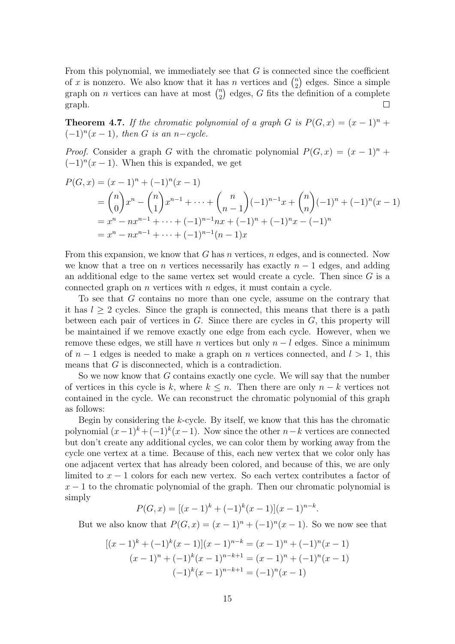From this polynomial, we immediately see that  $G$  is connected since the coefficient of x is nonzero. We also know that it has n vertices and  $\binom{n}{2}$  $n \choose 2$  edges. Since a simple graph on *n* vertices can have at most  $\binom{n}{2}$  $n \choose 2$  edges, G fits the definition of a complete graph.  $\Box$ 

**Theorem 4.7.** If the chromatic polynomial of a graph G is  $P(G, x) = (x - 1)^n +$  $(-1)^n(x-1)$ , then G is an n-cycle.

*Proof.* Consider a graph G with the chromatic polynomial  $P(G, x) = (x - 1)^n +$  $(-1)^n(x-1)$ . When this is expanded, we get

$$
P(G, x) = (x - 1)^n + (-1)^n (x - 1)
$$
  
=  $\binom{n}{0} x^n - \binom{n}{1} x^{n-1} + \dots + \binom{n}{n-1} (-1)^{n-1} x + \binom{n}{n} (-1)^n + (-1)^n (x - 1)$   
=  $x^n - nx^{n-1} + \dots + (-1)^{n-1} nx + (-1)^n + (-1)^n x - (-1)^n$   
=  $x^n - nx^{n-1} + \dots + (-1)^{n-1} (n - 1) x$ 

From this expansion, we know that  $G$  has  $n$  vertices,  $n$  edges, and is connected. Now we know that a tree on n vertices necessarily has exactly  $n-1$  edges, and adding an additional edge to the same vertex set would create a cycle. Then since G is a connected graph on  $n$  vertices with  $n$  edges, it must contain a cycle.

To see that G contains no more than one cycle, assume on the contrary that it has  $l \geq 2$  cycles. Since the graph is connected, this means that there is a path between each pair of vertices in  $G$ . Since there are cycles in  $G$ , this property will be maintained if we remove exactly one edge from each cycle. However, when we remove these edges, we still have n vertices but only  $n - l$  edges. Since a minimum of  $n-1$  edges is needed to make a graph on n vertices connected, and  $l > 1$ , this means that G is disconnected, which is a contradiction.

So we now know that G contains exactly one cycle. We will say that the number of vertices in this cycle is k, where  $k \leq n$ . Then there are only  $n - k$  vertices not contained in the cycle. We can reconstruct the chromatic polynomial of this graph as follows:

Begin by considering the k-cycle. By itself, we know that this has the chromatic polynomial  $(x-1)^k + (-1)^k(x-1)$ . Now since the other  $n-k$  vertices are connected but don't create any additional cycles, we can color them by working away from the cycle one vertex at a time. Because of this, each new vertex that we color only has one adjacent vertex that has already been colored, and because of this, we are only limited to  $x - 1$  colors for each new vertex. So each vertex contributes a factor of  $x - 1$  to the chromatic polynomial of the graph. Then our chromatic polynomial is simply

$$
P(G, x) = [(x - 1)^{k} + (-1)^{k}(x - 1)](x - 1)^{n-k}.
$$

But we also know that  $P(G, x) = (x - 1)^n + (-1)^n(x - 1)$ . So we now see that

$$
[(x-1)^{k} + (-1)^{k}(x-1)](x-1)^{n-k} = (x-1)^{n} + (-1)^{n}(x-1)
$$
  

$$
(x-1)^{n} + (-1)^{k}(x-1)^{n-k+1} = (x-1)^{n} + (-1)^{n}(x-1)
$$
  

$$
(-1)^{k}(x-1)^{n-k+1} = (-1)^{n}(x-1)
$$